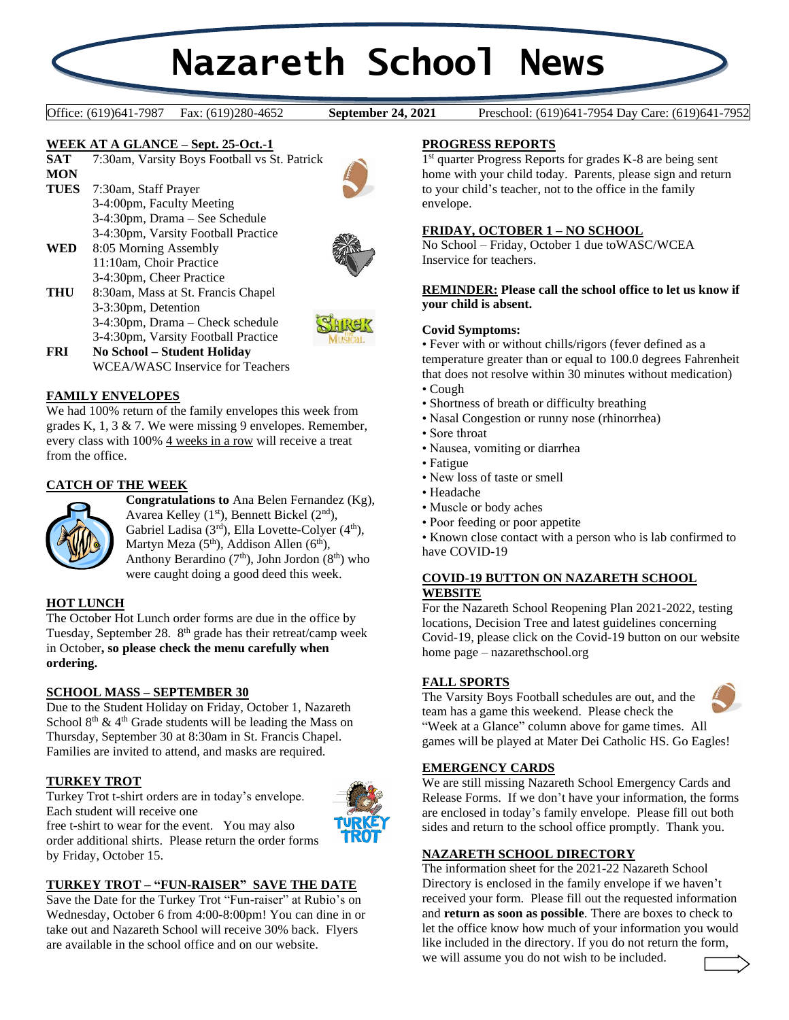# **Nazareth School News**

**September 24, 2021** 

Office: (619)641-7987 Fax: (619)280-4652 **September 24, 2021** Preschool: (619)641-7954 Day Care: (619)641-7952

# **WEEK AT A GLANCE – Sept. 25-Oct.-1**

| <b>SAT</b>  | 7:30am, Varsity Boys Football vs St. Patrick |
|-------------|----------------------------------------------|
| <b>MON</b>  |                                              |
| <b>TUES</b> | 7:30am, Staff Prayer                         |
|             | 3-4:00pm, Faculty Meeting                    |
|             | 3-4:30pm, Drama – See Schedule               |
|             | 3-4:30pm, Varsity Football Practice          |
| WED         | 8:05 Morning Assembly                        |
|             | 11:10am, Choir Practice                      |
|             | 3-4:30pm, Cheer Practice                     |
| THU         | 8:30am, Mass at St. Francis Chapel           |
|             | 3-3:30pm, Detention                          |
|             | S<br>3-4:30pm, Drama – Check schedule        |
|             | 3-4:30pm, Varsity Football Practice          |







**FRI No School – Student Holiday** WCEA/WASC Inservice for Teachers

# **FAMILY ENVELOPES**

We had 100% return of the family envelopes this week from grades K, 1, 3 & 7. We were missing 9 envelopes. Remember, every class with 100% 4 weeks in a row will receive a treat from the office.

# **CATCH OF THE WEEK**



**Congratulations to** Ana Belen Fernandez (Kg), Avarea Kelley  $(1<sup>st</sup>)$ , Bennett Bickel  $(2<sup>nd</sup>)$ , Gabriel Ladisa (3rd), Ella Lovette-Colyer (4<sup>th</sup>), Martyn Meza (5<sup>th</sup>), Addison Allen (6<sup>th</sup>), Anthony Berardino  $(7<sup>th</sup>)$ , John Jordon  $(8<sup>th</sup>)$  who were caught doing a good deed this week.

## **HOT LUNCH**

The October Hot Lunch order forms are due in the office by Tuesday, September 28. 8<sup>th</sup> grade has their retreat/camp week in October**, so please check the menu carefully when ordering.**

## **SCHOOL MASS – SEPTEMBER 30**

Due to the Student Holiday on Friday, October 1, Nazareth School  $8<sup>th</sup>$  & 4<sup>th</sup> Grade students will be leading the Mass on Thursday, September 30 at 8:30am in St. Francis Chapel. Families are invited to attend, and masks are required.

## **TURKEY TROT**

Turkey Trot t-shirt orders are in today's envelope. Each student will receive one



free t-shirt to wear for the event. You may also order additional shirts. Please return the order forms by Friday, October 15.

## **TURKEY TROT – "FUN-RAISER" SAVE THE DATE**

Save the Date for the Turkey Trot "Fun-raiser" at Rubio's on Wednesday, October 6 from 4:00-8:00pm! You can dine in or take out and Nazareth School will receive 30% back. Flyers are available in the school office and on our website.

## **PROGRESS REPORTS**

1 st quarter Progress Reports for grades K-8 are being sent home with your child today. Parents, please sign and return to your child's teacher, not to the office in the family envelope.

## **FRIDAY, OCTOBER 1 – NO SCHOOL**

No School – Friday, October 1 due toWASC/WCEA Inservice for teachers.

#### **REMINDER: Please call the school office to let us know if your child is absent.**

#### **Covid Symptoms:**

• Fever with or without chills/rigors (fever defined as a temperature greater than or equal to 100.0 degrees Fahrenheit that does not resolve within 30 minutes without medication)

- Cough
- Shortness of breath or difficulty breathing
- Nasal Congestion or runny nose (rhinorrhea)
- Sore throat
- Nausea, vomiting or diarrhea
- Fatigue
	- New loss of taste or smell
	- Headache
	- Muscle or body aches
	- Poor feeding or poor appetite

• Known close contact with a person who is lab confirmed to have COVID-19

# **COVID-19 BUTTON ON NAZARETH SCHOOL**

# **WEBSITE**

For the Nazareth School Reopening Plan 2021-2022, testing locations, Decision Tree and latest guidelines concerning Covid-19, please click on the Covid-19 button on our website home page – nazarethschool.org

## **FALL SPORTS**

The Varsity Boys Football schedules are out, and the team has a game this weekend. Please check the "Week at a Glance" column above for game times. All games will be played at Mater Dei Catholic HS. Go Eagles!



## **EMERGENCY CARDS**

We are still missing Nazareth School Emergency Cards and Release Forms. If we don't have your information, the forms are enclosed in today's family envelope. Please fill out both sides and return to the school office promptly. Thank you.

## **NAZARETH SCHOOL DIRECTORY**

The information sheet for the 2021-22 Nazareth School Directory is enclosed in the family envelope if we haven't received your form. Please fill out the requested information and **return as soon as possible**. There are boxes to check to let the office know how much of your information you would like included in the directory. If you do not return the form, we will assume you do not wish to be included.